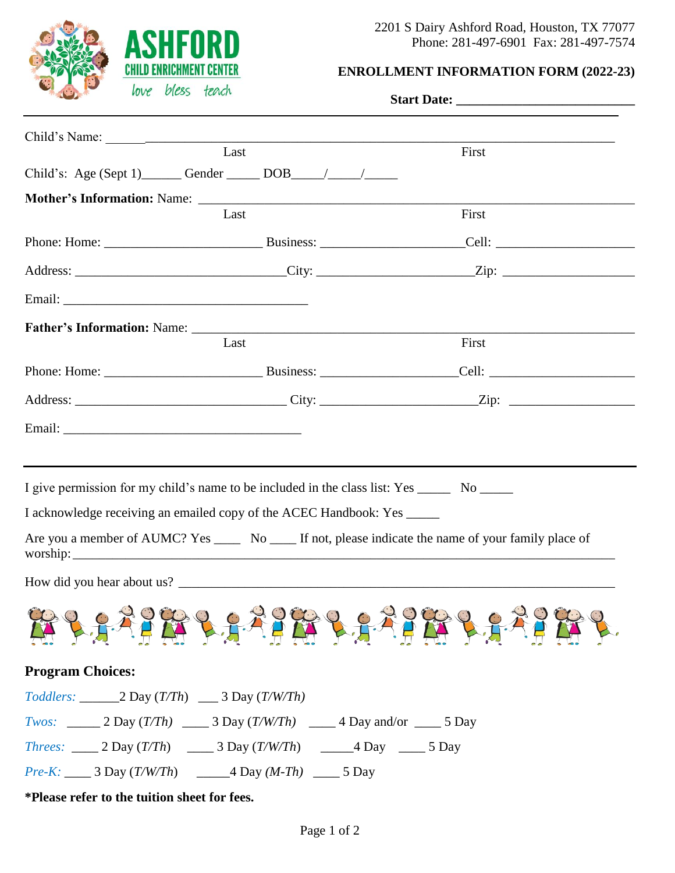

### **ENROLLMENT INFORMATION FORM (2022-23)**

| when we view tend                                                                                                                                                                                                                    |                                                                                                                                                                                                                                                                                   |                                                                                                                |  |
|--------------------------------------------------------------------------------------------------------------------------------------------------------------------------------------------------------------------------------------|-----------------------------------------------------------------------------------------------------------------------------------------------------------------------------------------------------------------------------------------------------------------------------------|----------------------------------------------------------------------------------------------------------------|--|
|                                                                                                                                                                                                                                      |                                                                                                                                                                                                                                                                                   |                                                                                                                |  |
|                                                                                                                                                                                                                                      | Last                                                                                                                                                                                                                                                                              | First                                                                                                          |  |
|                                                                                                                                                                                                                                      |                                                                                                                                                                                                                                                                                   |                                                                                                                |  |
|                                                                                                                                                                                                                                      |                                                                                                                                                                                                                                                                                   |                                                                                                                |  |
|                                                                                                                                                                                                                                      | Last                                                                                                                                                                                                                                                                              | First                                                                                                          |  |
|                                                                                                                                                                                                                                      |                                                                                                                                                                                                                                                                                   |                                                                                                                |  |
|                                                                                                                                                                                                                                      |                                                                                                                                                                                                                                                                                   | Address: ________________________________City: ________________________Zip: __________________________________ |  |
| Email: <u>Alexander Alexander Alexander Alexander Alexander Alexander Alexander Alexander Alexander Alexander Alexander Alexander Alexander Alexander Alexander Alexander Alexander Alexander Alexander Alexander Alexander Alex</u> |                                                                                                                                                                                                                                                                                   |                                                                                                                |  |
|                                                                                                                                                                                                                                      |                                                                                                                                                                                                                                                                                   |                                                                                                                |  |
|                                                                                                                                                                                                                                      | Last                                                                                                                                                                                                                                                                              | First                                                                                                          |  |
|                                                                                                                                                                                                                                      |                                                                                                                                                                                                                                                                                   |                                                                                                                |  |
|                                                                                                                                                                                                                                      |                                                                                                                                                                                                                                                                                   |                                                                                                                |  |
|                                                                                                                                                                                                                                      |                                                                                                                                                                                                                                                                                   |                                                                                                                |  |
|                                                                                                                                                                                                                                      | I give permission for my child's name to be included in the class list: Yes ______ No ______<br>I acknowledge receiving an emailed copy of the ACEC Handbook: Yes _____<br>Are you a member of AUMC? Yes ______ No _____ If not, please indicate the name of your family place of |                                                                                                                |  |
| How did you hear about us?                                                                                                                                                                                                           |                                                                                                                                                                                                                                                                                   | <b>PAAPER LAAPER LAAPER LAAPER P</b>                                                                           |  |
| <b>Program Choices:</b>                                                                                                                                                                                                              |                                                                                                                                                                                                                                                                                   |                                                                                                                |  |
|                                                                                                                                                                                                                                      |                                                                                                                                                                                                                                                                                   |                                                                                                                |  |
|                                                                                                                                                                                                                                      | <i>Twos:</i> 2 Day $(T/Th)$ ______ 3 Day $(T/W/Th)$ ______ 4 Day and/or _____ 5 Day                                                                                                                                                                                               |                                                                                                                |  |
|                                                                                                                                                                                                                                      | <i>Threes:</i> _____ 2 Day $(T/Th)$ _____ 3 Day $(T/W/Th)$ ______4 Day _____ 5 Day                                                                                                                                                                                                |                                                                                                                |  |
|                                                                                                                                                                                                                                      | <i>Pre-K:</i> _____ 3 Day $(T/W/Th)$ _______4 Day $(M-Th)$ _____ 5 Day                                                                                                                                                                                                            |                                                                                                                |  |
| *Please refer to the tuition sheet for fees.                                                                                                                                                                                         |                                                                                                                                                                                                                                                                                   |                                                                                                                |  |